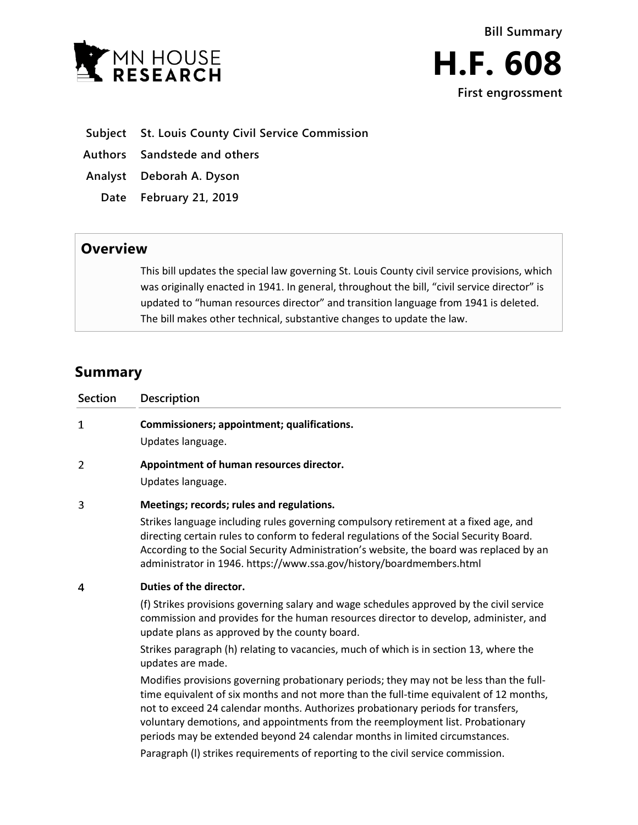



- **Subject St. Louis County Civil Service Commission**
- **Authors Sandstede and others**
- **Analyst Deborah A. Dyson**
	- **Date February 21, 2019**

## **Overview**

This bill updates the special law governing St. Louis County civil service provisions, which was originally enacted in 1941. In general, throughout the bill, "civil service director" is updated to "human resources director" and transition language from 1941 is deleted. The bill makes other technical, substantive changes to update the law.

# **Summary**

| <b>Section</b> | <b>Description</b>                                                                                                                                                                                                                                                                                                                                                                                                                     |
|----------------|----------------------------------------------------------------------------------------------------------------------------------------------------------------------------------------------------------------------------------------------------------------------------------------------------------------------------------------------------------------------------------------------------------------------------------------|
| $\mathbf{1}$   | Commissioners; appointment; qualifications.<br>Updates language.                                                                                                                                                                                                                                                                                                                                                                       |
| 2              | Appointment of human resources director.<br>Updates language.                                                                                                                                                                                                                                                                                                                                                                          |
| 3              | Meetings; records; rules and regulations.<br>Strikes language including rules governing compulsory retirement at a fixed age, and<br>directing certain rules to conform to federal regulations of the Social Security Board.<br>According to the Social Security Administration's website, the board was replaced by an<br>administrator in 1946. https://www.ssa.gov/history/boardmembers.html                                        |
| 4              | Duties of the director.<br>(f) Strikes provisions governing salary and wage schedules approved by the civil service<br>commission and provides for the human resources director to develop, administer, and<br>update plans as approved by the county board.<br>Strikes paragraph (h) relating to vacancies, much of which is in section 13, where the<br>updates are made.                                                            |
|                | Modifies provisions governing probationary periods; they may not be less than the full-<br>time equivalent of six months and not more than the full-time equivalent of 12 months,<br>not to exceed 24 calendar months. Authorizes probationary periods for transfers,<br>voluntary demotions, and appointments from the reemployment list. Probationary<br>periods may be extended beyond 24 calendar months in limited circumstances. |

Paragraph (l) strikes requirements of reporting to the civil service commission.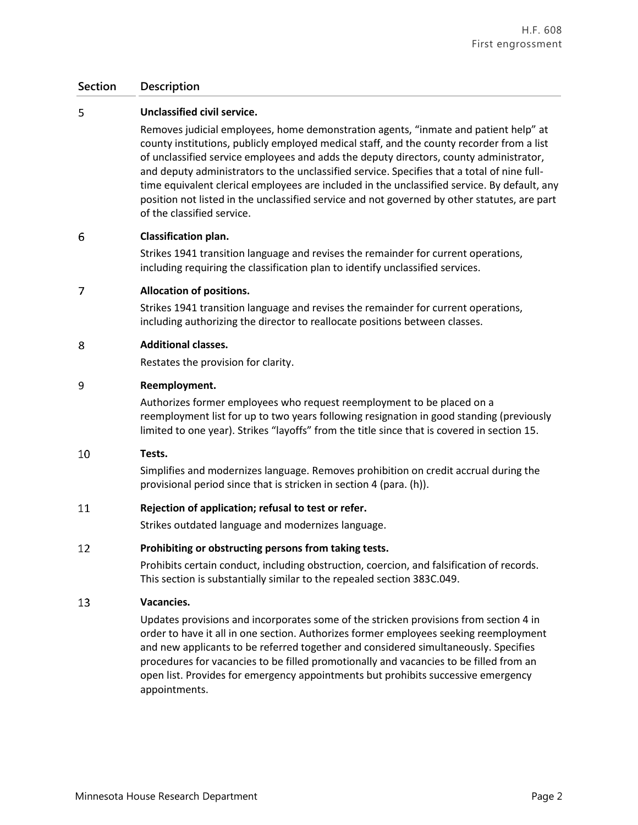### **Section Description**

### 5 **Unclassified civil service.**

Removes judicial employees, home demonstration agents, "inmate and patient help" at county institutions, publicly employed medical staff, and the county recorder from a list of unclassified service employees and adds the deputy directors, county administrator, and deputy administrators to the unclassified service. Specifies that a total of nine fulltime equivalent clerical employees are included in the unclassified service. By default, any position not listed in the unclassified service and not governed by other statutes, are part of the classified service.

#### 6 **Classification plan.**

Strikes 1941 transition language and revises the remainder for current operations, including requiring the classification plan to identify unclassified services.

#### $\overline{7}$ **Allocation of positions.**

Strikes 1941 transition language and revises the remainder for current operations, including authorizing the director to reallocate positions between classes.

#### 8 **Additional classes.**

Restates the provision for clarity.

#### 9 **Reemployment.**

Authorizes former employees who request reemployment to be placed on a reemployment list for up to two years following resignation in good standing (previously limited to one year). Strikes "layoffs" from the title since that is covered in section 15.

#### 10 **Tests.**

Simplifies and modernizes language. Removes prohibition on credit accrual during the provisional period since that is stricken in section 4 (para. (h)).

#### 11 **Rejection of application; refusal to test or refer.**

Strikes outdated language and modernizes language.

#### 12 **Prohibiting or obstructing persons from taking tests.**

Prohibits certain conduct, including obstruction, coercion, and falsification of records. This section is substantially similar to the repealed section 383C.049.

#### 13 **Vacancies.**

Updates provisions and incorporates some of the stricken provisions from section 4 in order to have it all in one section. Authorizes former employees seeking reemployment and new applicants to be referred together and considered simultaneously. Specifies procedures for vacancies to be filled promotionally and vacancies to be filled from an open list. Provides for emergency appointments but prohibits successive emergency appointments.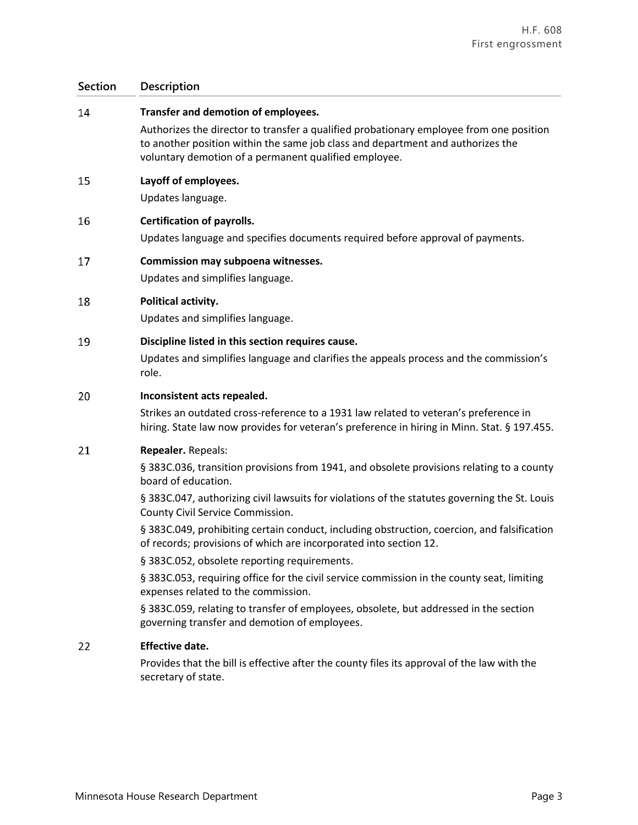## **Section Description**

| 14 | Transfer and demotion of employees.                                                                                                                                                                                                                                                                                                                                                                                                                                                                                                                                                                                                                                                                                                                                                                      |
|----|----------------------------------------------------------------------------------------------------------------------------------------------------------------------------------------------------------------------------------------------------------------------------------------------------------------------------------------------------------------------------------------------------------------------------------------------------------------------------------------------------------------------------------------------------------------------------------------------------------------------------------------------------------------------------------------------------------------------------------------------------------------------------------------------------------|
|    | Authorizes the director to transfer a qualified probationary employee from one position<br>to another position within the same job class and department and authorizes the<br>voluntary demotion of a permanent qualified employee.                                                                                                                                                                                                                                                                                                                                                                                                                                                                                                                                                                      |
| 15 | Layoff of employees.<br>Updates language.                                                                                                                                                                                                                                                                                                                                                                                                                                                                                                                                                                                                                                                                                                                                                                |
| 16 | <b>Certification of payrolls.</b><br>Updates language and specifies documents required before approval of payments.                                                                                                                                                                                                                                                                                                                                                                                                                                                                                                                                                                                                                                                                                      |
| 17 | Commission may subpoena witnesses.<br>Updates and simplifies language.                                                                                                                                                                                                                                                                                                                                                                                                                                                                                                                                                                                                                                                                                                                                   |
| 18 | Political activity.<br>Updates and simplifies language.                                                                                                                                                                                                                                                                                                                                                                                                                                                                                                                                                                                                                                                                                                                                                  |
| 19 | Discipline listed in this section requires cause.<br>Updates and simplifies language and clarifies the appeals process and the commission's<br>role.                                                                                                                                                                                                                                                                                                                                                                                                                                                                                                                                                                                                                                                     |
| 20 | Inconsistent acts repealed.<br>Strikes an outdated cross-reference to a 1931 law related to veteran's preference in<br>hiring. State law now provides for veteran's preference in hiring in Minn. Stat. § 197.455.                                                                                                                                                                                                                                                                                                                                                                                                                                                                                                                                                                                       |
| 21 | Repealer. Repeals:<br>§ 383C.036, transition provisions from 1941, and obsolete provisions relating to a county<br>board of education.<br>§ 383C.047, authorizing civil lawsuits for violations of the statutes governing the St. Louis<br>County Civil Service Commission.<br>§ 383C.049, prohibiting certain conduct, including obstruction, coercion, and falsification<br>of records; provisions of which are incorporated into section 12.<br>§ 383C.052, obsolete reporting requirements.<br>§ 383C.053, requiring office for the civil service commission in the county seat, limiting<br>expenses related to the commission.<br>§ 383C.059, relating to transfer of employees, obsolete, but addressed in the section<br>governing transfer and demotion of employees.<br><b>Effective date.</b> |
| 22 | Provides that the bill is effective after the county files its approval of the law with the<br>secretary of state.                                                                                                                                                                                                                                                                                                                                                                                                                                                                                                                                                                                                                                                                                       |